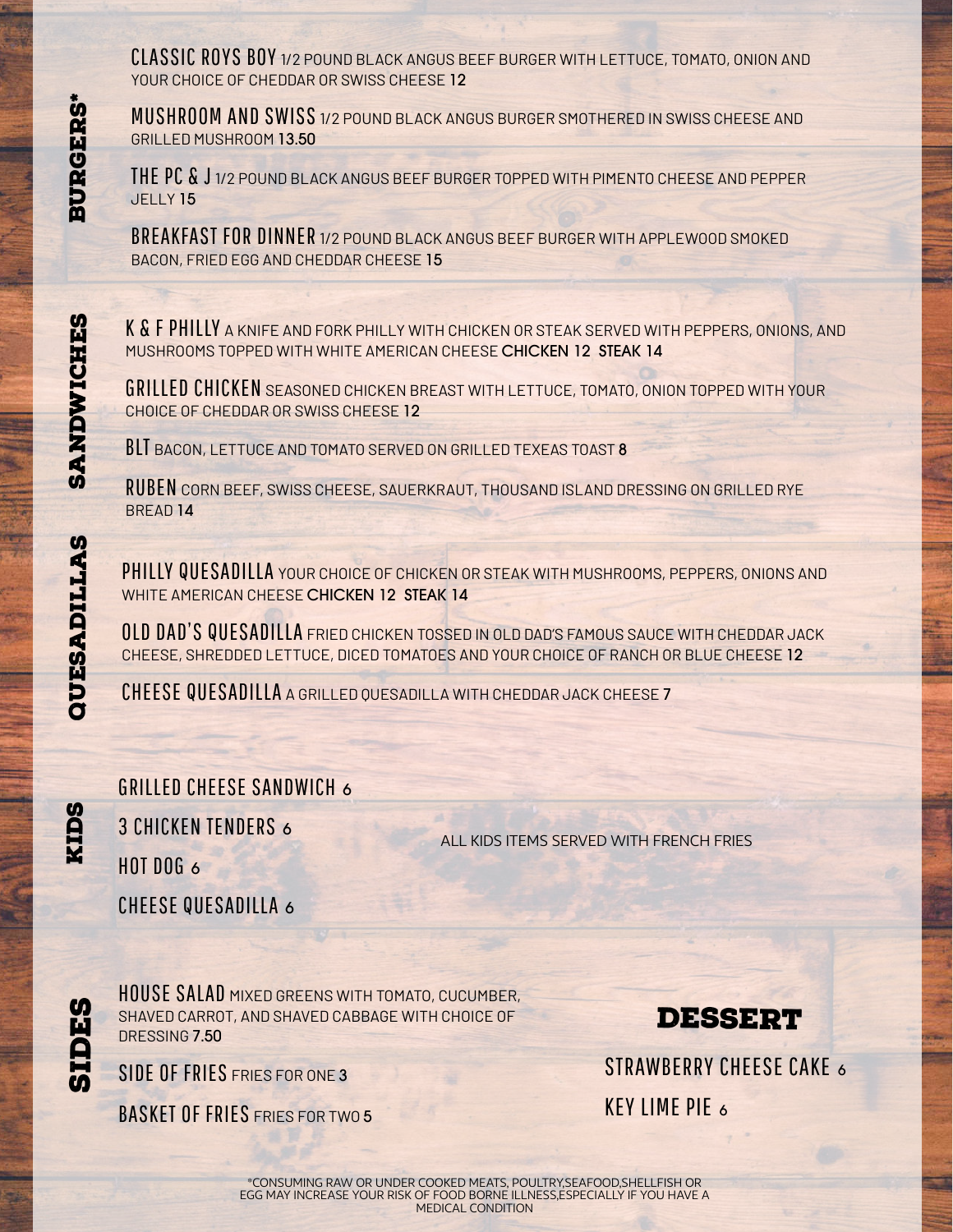CLASSIC ROYS BOY 1/2 POUND BLACK ANGUS BEEF BURGER WITH LETTUCE, TOMATO, ONION AND YOUR CHOICE OF CHEDDAR OR SWISS CHEESE 12

MUSHROOM AND SWISS 1/2 POUND BLACK ANGUS BURGER SMOTHERED IN SWISS CHEESE AND GRILLED MUSHROOM 13.50

THE PC & J 1/2 POUND BLACK ANGUS BEEF BURGER TOPPED WITH PIMENTO CHEESE AND PEPPER JELLY 15

BREAKFAST FOR DINNER 1/2 POUND BLACK ANGUS BEEF BURGER WITH APPLEWOOD SMOKED BACON, FRIED EGG AND CHEDDAR CHEESE 15

K & F PHILLY A KNIFE AND FORK PHILLY WITH CHICKEN OR STEAK SERVED WITH PEPPERS, ONIONS, AND MUSHROOMS TOPPED WITH WHITE AMERICAN CHEESE CHICKEN 12 STEAK 14

GRILLED CHICKEN SEASONED CHICKEN BREAST WITH LETTUCE, TOMATO, ONION TOPPED WITH YOUR CHOICE OF CHEDDAR OR SWISS CHEESE 12

**BLT** BACON, LETTUCE AND TOMATO SERVED ON GRILLED TEXEAS TOAST 8

RUBEN CORN BEEF, SWISS CHEESE, SAUERKRAUT, THOUSAND ISLAND DRESSING ON GRILLED RYE BREAD 14

PHILLY QUESADILLA YOUR CHOICE OF CHICKEN OR STEAK WITH MUSHROOMS, PEPPERS, ONIONS AND WHITE AMERICAN CHEESE CHICKEN 12 STEAK 14

OLD DAD'S QUESADILLA FRIED CHICKEN TOSSED IN OLD DAD'S FAMOUS SAUCE WITH CHEDDAR JACK CHEESE, SHREDDED LETTUCE, DICED TOMATOES AND YOUR CHOICE OF RANCH OR BLUE CHEESE 12

CHEESE QUESADILLA <sup>A</sup> GRILLED QUESADILLA WITH CHEDDAR JACK CHEESE 7

GRILLED CHEESE SANDWICH 6 3 CHICKEN TENDERS 6  $H$ <sub>0</sub>T D<sub>06</sub>  $\epsilon$ 

ALL KIDS ITEMS SERVED WITH FRENCH FRIES

CHEESE QUESADILLA 6

HOUSE SALAD MIXED GREENS WITH TOMATO, CUCUMBER, SHAVED CARROT, AND SHAVED CABBAGE WITH CHOICE OF DRESSING 7.50

## **DESSERT**

STRAWBERRY CHEESE CAKE 6 KEY LIME PIE <sup>6</sup>

SIDE OF FRIES FRIES FOR ONE 3

BASKET OF FRIES FRIES FOR TWO 5

**KIDS** 

> **li DES**